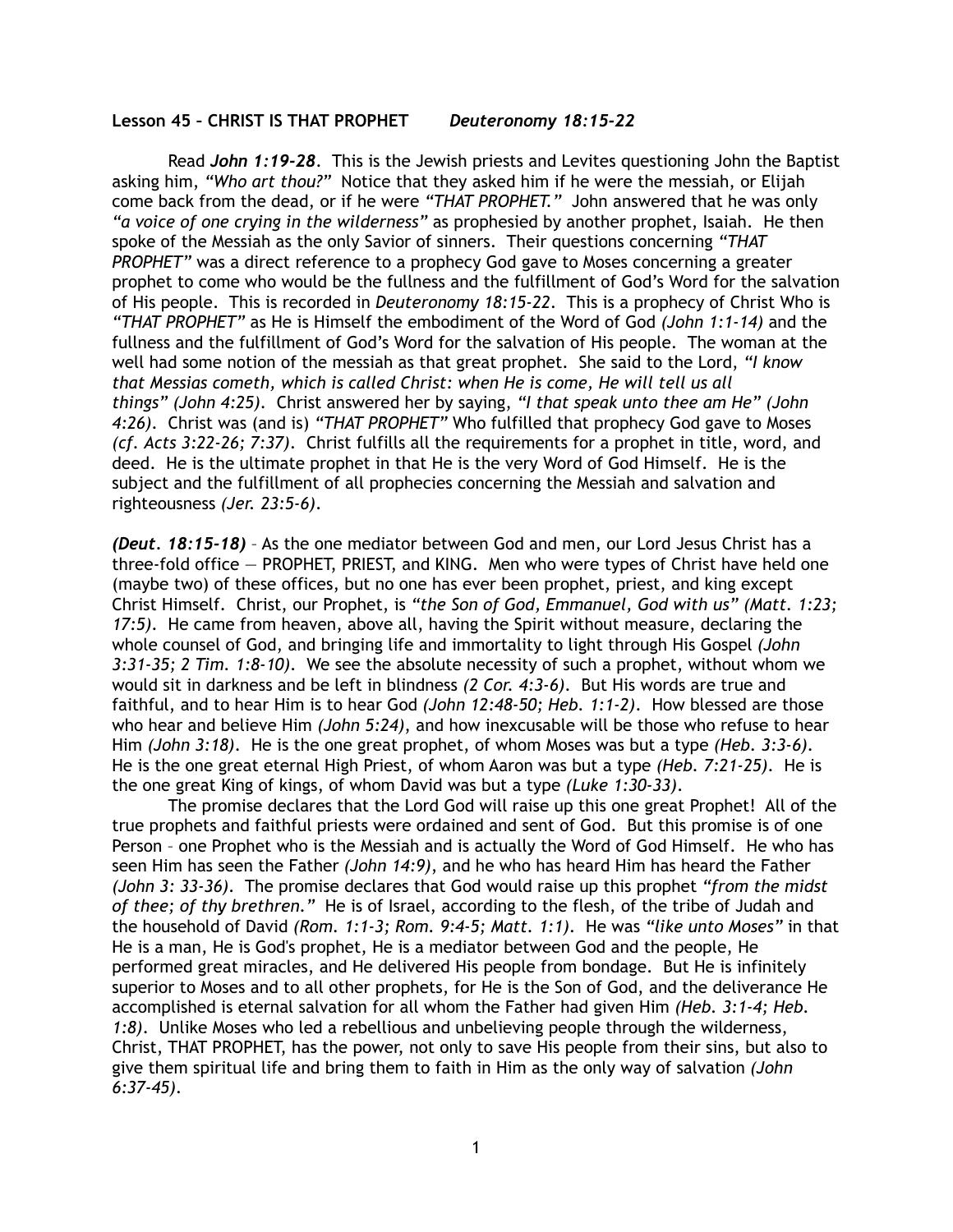## **Lesson 45 – CHRIST IS THAT PROPHET** *Deuteronomy 18:15-22*

 Read *John 1:19-28*. This is the Jewish priests and Levites questioning John the Baptist asking him, *"Who art thou?"* Notice that they asked him if he were the messiah, or Elijah come back from the dead, or if he were *"THAT PROPHET."* John answered that he was only *"a voice of one crying in the wilderness"* as prophesied by another prophet, Isaiah. He then spoke of the Messiah as the only Savior of sinners. Their questions concerning *"THAT PROPHET"* was a direct reference to a prophecy God gave to Moses concerning a greater prophet to come who would be the fullness and the fulfillment of God's Word for the salvation of His people. This is recorded in *Deuteronomy 18:15-22*. This is a prophecy of Christ Who is *"THAT PROPHET"* as He is Himself the embodiment of the Word of God *(John 1:1-14)* and the fullness and the fulfillment of God's Word for the salvation of His people. The woman at the well had some notion of the messiah as that great prophet. She said to the Lord, *"I know that Messias cometh, which is called Christ: when He is come, He will tell us all things" (John 4:25)*. Christ answered her by saying, *"I that speak unto thee am He" (John 4:26)*. Christ was (and is) *"THAT PROPHET"* Who fulfilled that prophecy God gave to Moses *(cf. Acts 3:22-26; 7:37)*. Christ fulfills all the requirements for a prophet in title, word, and deed. He is the ultimate prophet in that He is the very Word of God Himself. He is the subject and the fulfillment of all prophecies concerning the Messiah and salvation and righteousness *(Jer. 23:5-6)*.

*(Deut. 18:15-18)* – As the one mediator between God and men, our Lord Jesus Christ has a three-fold office — PROPHET, PRIEST, and KING. Men who were types of Christ have held one (maybe two) of these offices, but no one has ever been prophet, priest, and king except Christ Himself. Christ, our Prophet, is *"the Son of God, Emmanuel, God with us" (Matt. 1:23; 17:5)*. He came from heaven, above all, having the Spirit without measure, declaring the whole counsel of God, and bringing life and immortality to light through His Gospel *(John 3:31-35; 2 Tim. 1:8-10)*. We see the absolute necessity of such a prophet, without whom we would sit in darkness and be left in blindness *(2 Cor. 4:3-6)*. But His words are true and faithful, and to hear Him is to hear God *(John 12:48-50; Heb. 1:1-2)*. How blessed are those who hear and believe Him *(John 5:24)*, and how inexcusable will be those who refuse to hear Him *(John 3:18)*. He is the one great prophet, of whom Moses was but a type *(Heb. 3:3-6)*. He is the one great eternal High Priest, of whom Aaron was but a type *(Heb. 7:21-25)*. He is the one great King of kings, of whom David was but a type *(Luke 1:30-33)*.

The promise declares that the Lord God will raise up this one great Prophet! All of the true prophets and faithful priests were ordained and sent of God. But this promise is of one Person – one Prophet who is the Messiah and is actually the Word of God Himself. He who has seen Him has seen the Father *(John 14:9)*, and he who has heard Him has heard the Father *(John 3: 33-36)*. The promise declares that God would raise up this prophet *"from the midst of thee; of thy brethren."* He is of Israel, according to the flesh, of the tribe of Judah and the household of David *(Rom. 1:1-3; Rom. 9:4-5; Matt. 1:1)*. He was *"like unto Moses"* in that He is a man, He is God's prophet, He is a mediator between God and the people, He performed great miracles, and He delivered His people from bondage. But He is infinitely superior to Moses and to all other prophets, for He is the Son of God, and the deliverance He accomplished is eternal salvation for all whom the Father had given Him *(Heb. 3:1-4; Heb. 1:8)*. Unlike Moses who led a rebellious and unbelieving people through the wilderness, Christ, THAT PROPHET, has the power, not only to save His people from their sins, but also to give them spiritual life and bring them to faith in Him as the only way of salvation *(John 6:37-45)*.